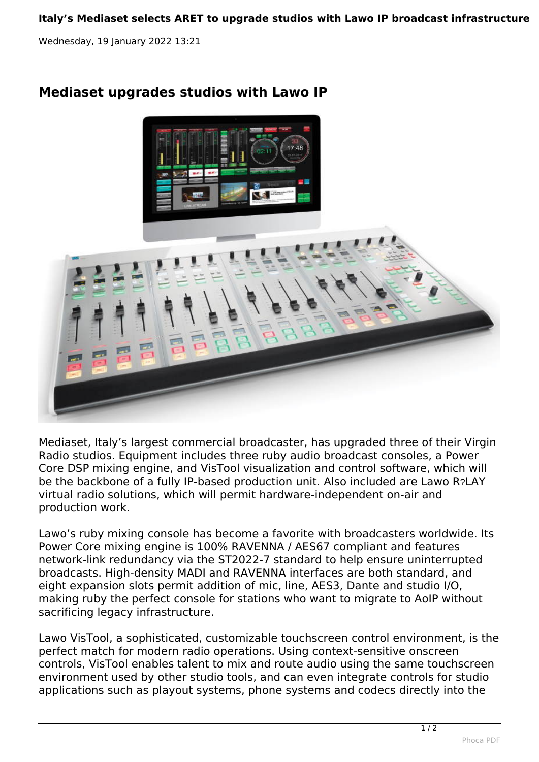*Wednesday, 19 January 2022 13:21*

## **Mediaset upgrades studios with Lawo IP**



*Mediaset, Italy's largest commercial broadcaster, has upgraded three of their Virgin Radio studios. Equipment includes three ruby audio broadcast consoles, a Power Core DSP mixing engine, and VisTool visualization and control software, which will be the backbone of a fully IP-based production unit. Also included are Lawo R*?*LAY virtual radio solutions, which will permit hardware-independent on-air and production work.*

*Lawo's ruby mixing console has become a favorite with broadcasters worldwide. Its Power Core mixing engine is 100% RAVENNA / AES67 compliant and features network-link redundancy via the ST2022-7 standard to help ensure uninterrupted broadcasts. High-density MADI and RAVENNA interfaces are both standard, and eight expansion slots permit addition of mic, line, AES3, Dante and studio I/O, making ruby the perfect console for stations who want to migrate to AoIP without sacrificing legacy infrastructure.*

*Lawo VisTool, a sophisticated, customizable touchscreen control environment, is the perfect match for modern radio operations. Using context-sensitive onscreen controls, VisTool enables talent to mix and route audio using the same touchscreen environment used by other studio tools, and can even integrate controls for studio applications such as playout systems, phone systems and codecs directly into the*